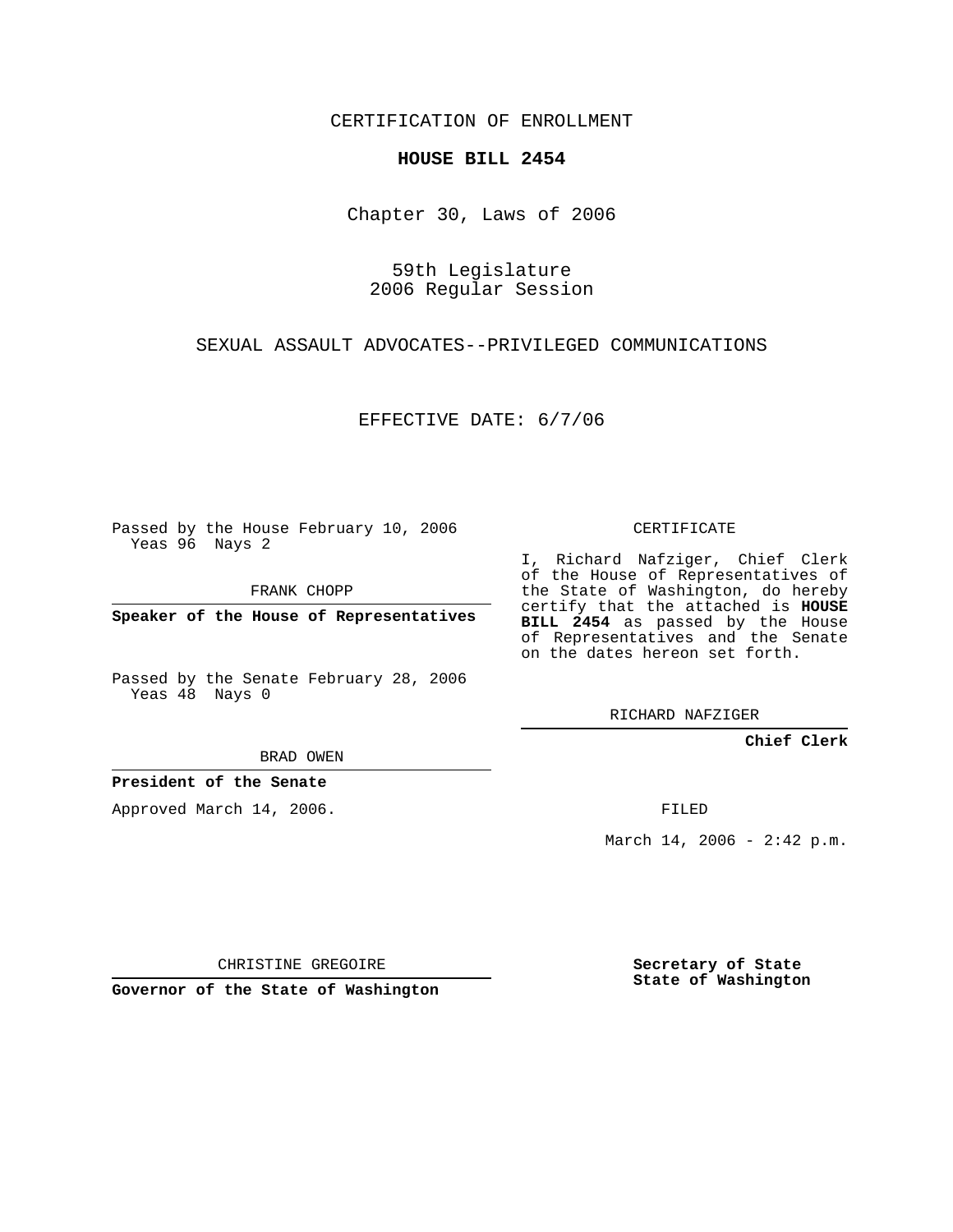CERTIFICATION OF ENROLLMENT

## **HOUSE BILL 2454**

Chapter 30, Laws of 2006

59th Legislature 2006 Regular Session

SEXUAL ASSAULT ADVOCATES--PRIVILEGED COMMUNICATIONS

EFFECTIVE DATE: 6/7/06

Passed by the House February 10, 2006 Yeas 96 Nays 2

FRANK CHOPP

**Speaker of the House of Representatives**

Passed by the Senate February 28, 2006 Yeas 48 Nays 0

BRAD OWEN

**President of the Senate**

Approved March 14, 2006.

CERTIFICATE

I, Richard Nafziger, Chief Clerk of the House of Representatives of the State of Washington, do hereby certify that the attached is **HOUSE BILL 2454** as passed by the House of Representatives and the Senate on the dates hereon set forth.

RICHARD NAFZIGER

**Chief Clerk**

FILED

March 14, 2006 -  $2:42$  p.m.

CHRISTINE GREGOIRE

**Governor of the State of Washington**

**Secretary of State State of Washington**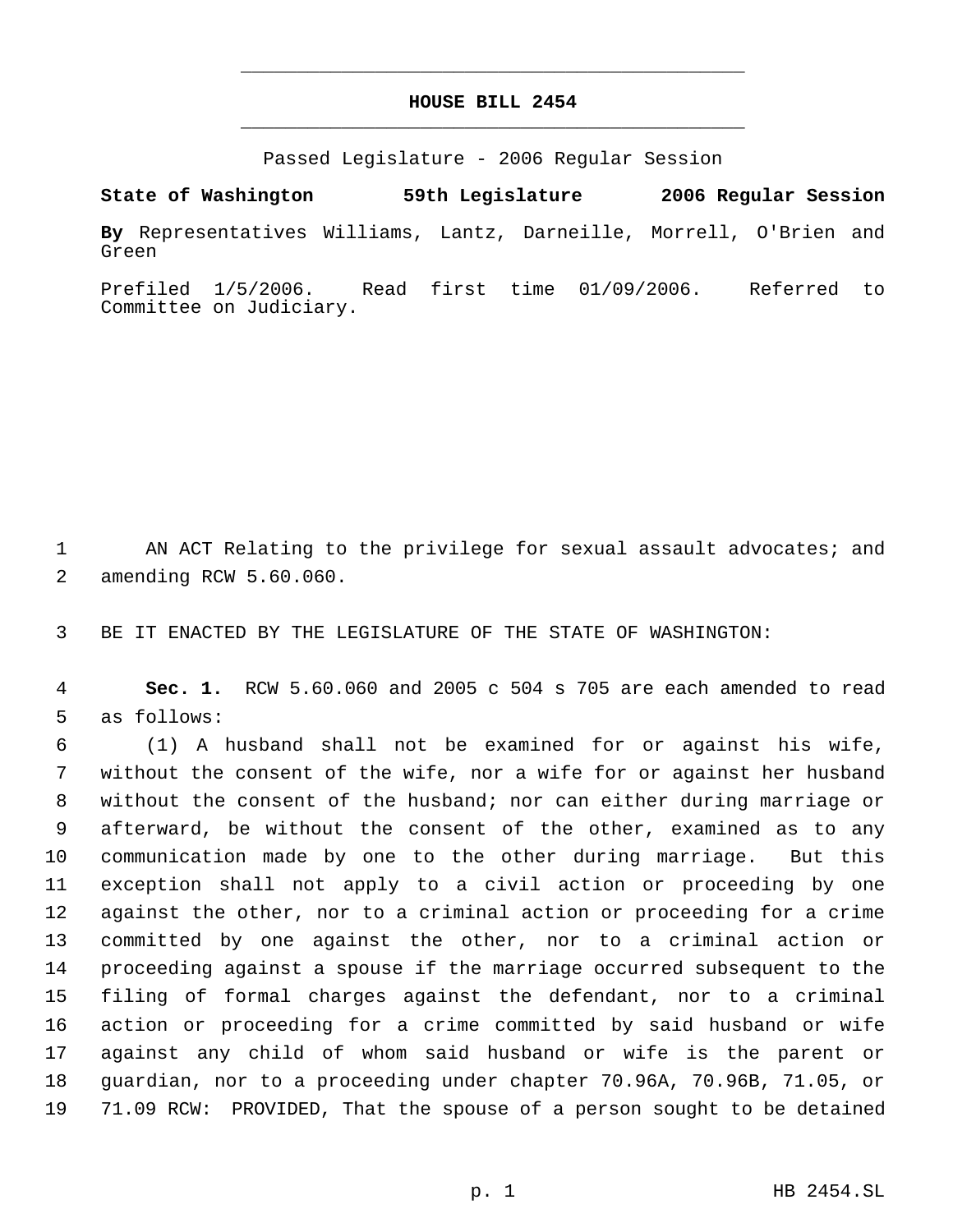## **HOUSE BILL 2454** \_\_\_\_\_\_\_\_\_\_\_\_\_\_\_\_\_\_\_\_\_\_\_\_\_\_\_\_\_\_\_\_\_\_\_\_\_\_\_\_\_\_\_\_\_

\_\_\_\_\_\_\_\_\_\_\_\_\_\_\_\_\_\_\_\_\_\_\_\_\_\_\_\_\_\_\_\_\_\_\_\_\_\_\_\_\_\_\_\_\_

Passed Legislature - 2006 Regular Session

**State of Washington 59th Legislature 2006 Regular Session By** Representatives Williams, Lantz, Darneille, Morrell, O'Brien and Green

Prefiled 1/5/2006. Read first time 01/09/2006. Referred to Committee on Judiciary.

1 AN ACT Relating to the privilege for sexual assault advocates; and amending RCW 5.60.060.

BE IT ENACTED BY THE LEGISLATURE OF THE STATE OF WASHINGTON:

 **Sec. 1.** RCW 5.60.060 and 2005 c 504 s 705 are each amended to read as follows:

 (1) A husband shall not be examined for or against his wife, without the consent of the wife, nor a wife for or against her husband without the consent of the husband; nor can either during marriage or afterward, be without the consent of the other, examined as to any communication made by one to the other during marriage. But this exception shall not apply to a civil action or proceeding by one against the other, nor to a criminal action or proceeding for a crime committed by one against the other, nor to a criminal action or proceeding against a spouse if the marriage occurred subsequent to the filing of formal charges against the defendant, nor to a criminal action or proceeding for a crime committed by said husband or wife against any child of whom said husband or wife is the parent or guardian, nor to a proceeding under chapter 70.96A, 70.96B, 71.05, or 71.09 RCW: PROVIDED, That the spouse of a person sought to be detained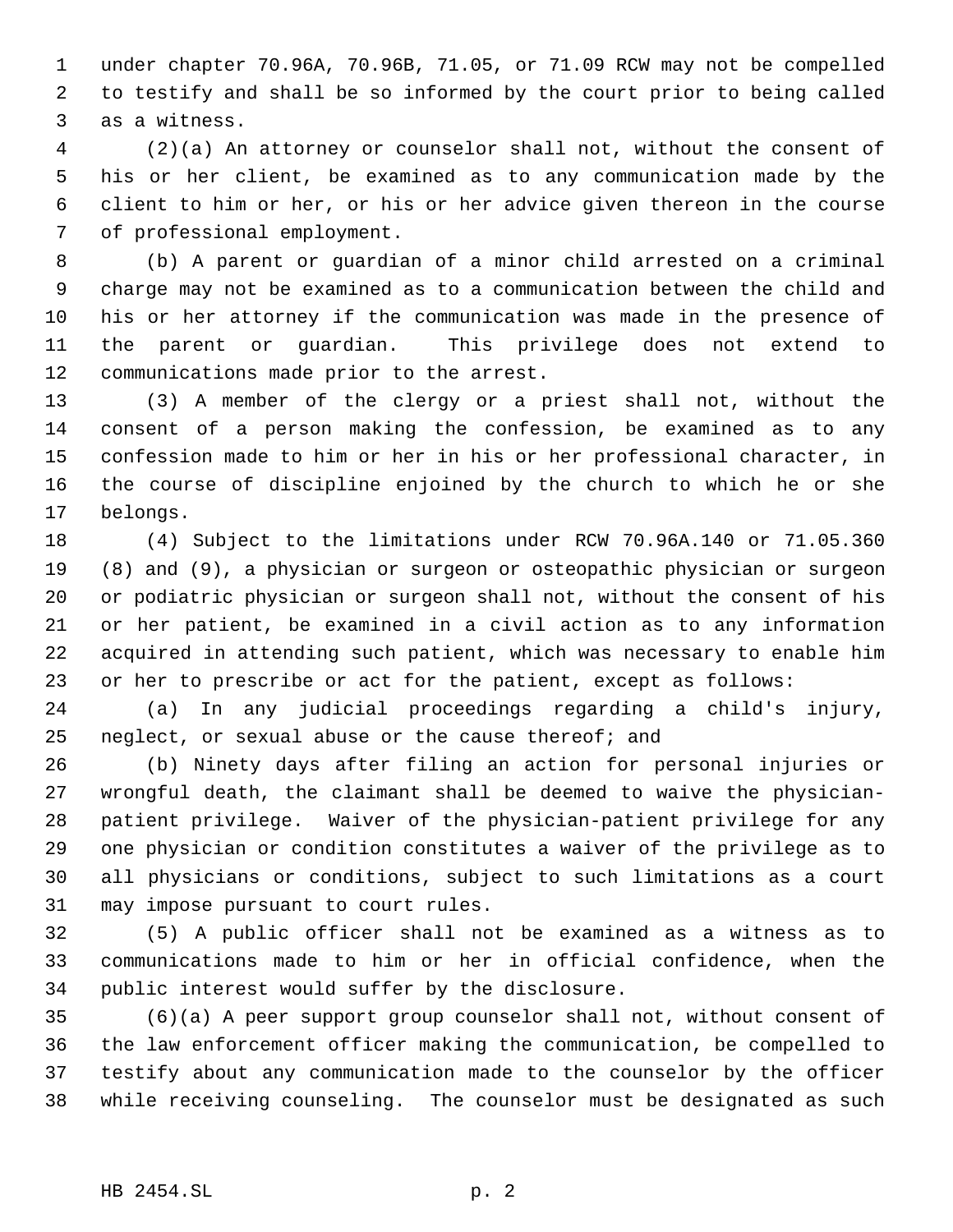under chapter 70.96A, 70.96B, 71.05, or 71.09 RCW may not be compelled to testify and shall be so informed by the court prior to being called as a witness.

 (2)(a) An attorney or counselor shall not, without the consent of his or her client, be examined as to any communication made by the client to him or her, or his or her advice given thereon in the course of professional employment.

 (b) A parent or guardian of a minor child arrested on a criminal charge may not be examined as to a communication between the child and his or her attorney if the communication was made in the presence of the parent or guardian. This privilege does not extend to communications made prior to the arrest.

 (3) A member of the clergy or a priest shall not, without the consent of a person making the confession, be examined as to any confession made to him or her in his or her professional character, in the course of discipline enjoined by the church to which he or she belongs.

 (4) Subject to the limitations under RCW 70.96A.140 or 71.05.360 (8) and (9), a physician or surgeon or osteopathic physician or surgeon or podiatric physician or surgeon shall not, without the consent of his or her patient, be examined in a civil action as to any information acquired in attending such patient, which was necessary to enable him or her to prescribe or act for the patient, except as follows:

 (a) In any judicial proceedings regarding a child's injury, neglect, or sexual abuse or the cause thereof; and

 (b) Ninety days after filing an action for personal injuries or wrongful death, the claimant shall be deemed to waive the physician- patient privilege. Waiver of the physician-patient privilege for any one physician or condition constitutes a waiver of the privilege as to all physicians or conditions, subject to such limitations as a court may impose pursuant to court rules.

 (5) A public officer shall not be examined as a witness as to communications made to him or her in official confidence, when the public interest would suffer by the disclosure.

 (6)(a) A peer support group counselor shall not, without consent of the law enforcement officer making the communication, be compelled to testify about any communication made to the counselor by the officer while receiving counseling. The counselor must be designated as such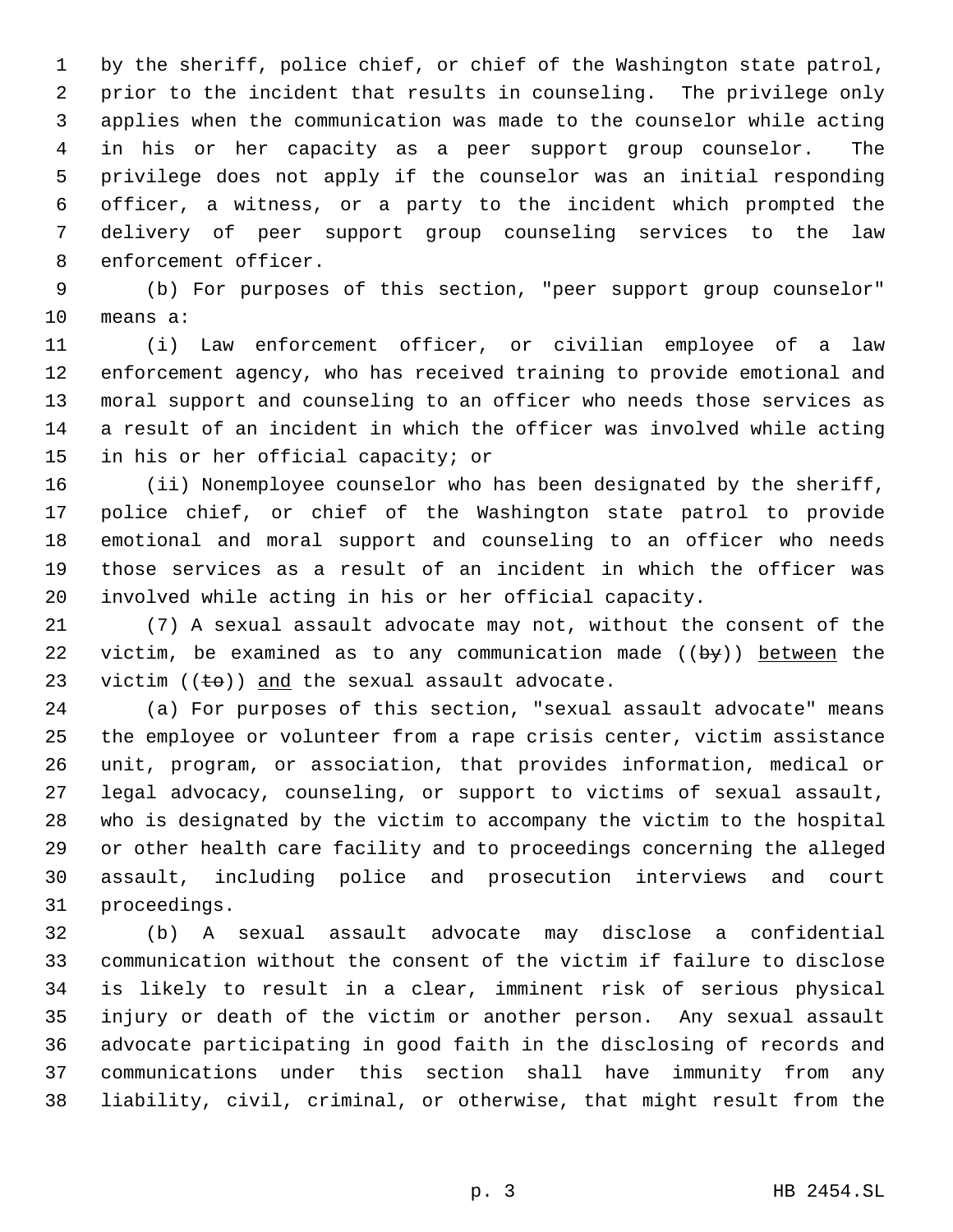by the sheriff, police chief, or chief of the Washington state patrol, prior to the incident that results in counseling. The privilege only applies when the communication was made to the counselor while acting in his or her capacity as a peer support group counselor. The privilege does not apply if the counselor was an initial responding officer, a witness, or a party to the incident which prompted the delivery of peer support group counseling services to the law enforcement officer.

 (b) For purposes of this section, "peer support group counselor" means a:

 (i) Law enforcement officer, or civilian employee of a law enforcement agency, who has received training to provide emotional and moral support and counseling to an officer who needs those services as a result of an incident in which the officer was involved while acting in his or her official capacity; or

 (ii) Nonemployee counselor who has been designated by the sheriff, police chief, or chief of the Washington state patrol to provide emotional and moral support and counseling to an officer who needs those services as a result of an incident in which the officer was involved while acting in his or her official capacity.

 (7) A sexual assault advocate may not, without the consent of the 22 victim, be examined as to any communication made  $((by))$  between the 23 victim  $((\pm \theta))$  and the sexual assault advocate.

 (a) For purposes of this section, "sexual assault advocate" means the employee or volunteer from a rape crisis center, victim assistance unit, program, or association, that provides information, medical or legal advocacy, counseling, or support to victims of sexual assault, who is designated by the victim to accompany the victim to the hospital or other health care facility and to proceedings concerning the alleged assault, including police and prosecution interviews and court proceedings.

 (b) A sexual assault advocate may disclose a confidential communication without the consent of the victim if failure to disclose is likely to result in a clear, imminent risk of serious physical injury or death of the victim or another person. Any sexual assault advocate participating in good faith in the disclosing of records and communications under this section shall have immunity from any liability, civil, criminal, or otherwise, that might result from the